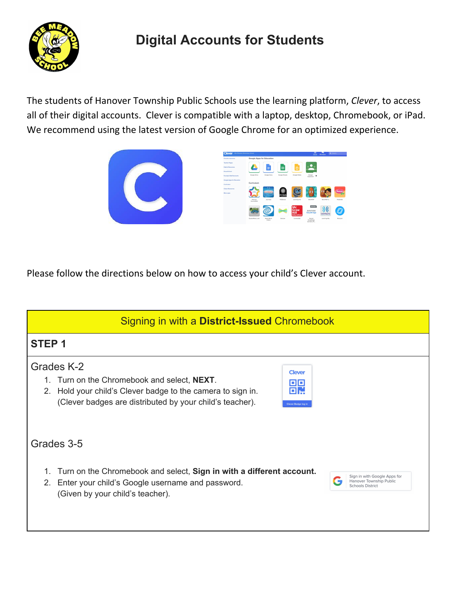

## **Digital Accounts for Students**

The students of Hanover Township Public Schools use the learning platform, *Clever*, to access all of their digital accounts. Clever is compatible with a laptop, desktop, Chromebook, or iPad. We recommend using the latest version of Google Chrome for an optimized experience.



| <b>Clever</b><br>Dee Meadow Elementow School |                                |                            |               |                                  | <br>Portal                                 | Messages      | Q. Seerch |
|----------------------------------------------|--------------------------------|----------------------------|---------------|----------------------------------|--------------------------------------------|---------------|-----------|
| Favorite requestes                           | Google Apps for Education      |                            |               |                                  |                                            |               |           |
| <b>Teacher Peops</b>                         |                                |                            |               |                                  |                                            |               |           |
| <b>District Resources</b>                    |                                | ≣                          | 囲             | E                                |                                            |               |           |
| Person/School                                |                                |                            |               |                                  |                                            |               |           |
| Faculty & Staff Accounts                     | Google Drive                   | Google Dock                | Google Sheets | Google Stides                    | Google<br>$\ddot{\phantom{a}}$<br>Cleaners |               |           |
| Docele Aces for Pelusation                   |                                |                            |               |                                  |                                            |               |           |
| <b>Curriculum</b>                            | Curriculum                     |                            |               |                                  |                                            |               |           |
| Closer Resources                             |                                | <b>KLK</b>                 |               |                                  |                                            |               |           |
| More copy                                    | <b>Service</b><br><b>COLOR</b> | <b>JOURNEY</b>             | FOSS          |                                  | М<br>и                                     |               | Pebble    |
|                                              | Perman<br><b>Barnesvillet</b>  | Journeys                   | FOSSweb       | Learning A-Z                     | DrainFOR                                   | BrainPOP Jr.  | PebbleCo  |
|                                              |                                |                            |               | Mc                               | <b>SHANS</b>                               |               |           |
|                                              |                                |                            |               | Graw<br>Hill<br><b>Education</b> | SAVVAS<br><b>EasyBridge</b>                | Learning Alty |           |
|                                              | Committee in com-              | <b>Modd Book</b><br>Online | <b>Course</b> | Connectico                       | Sayyas.<br>Cendridge<br>Formerly Pe.       | Learning Alty | Newcod    |

Please follow the directions below on how to access your child's Clever account.